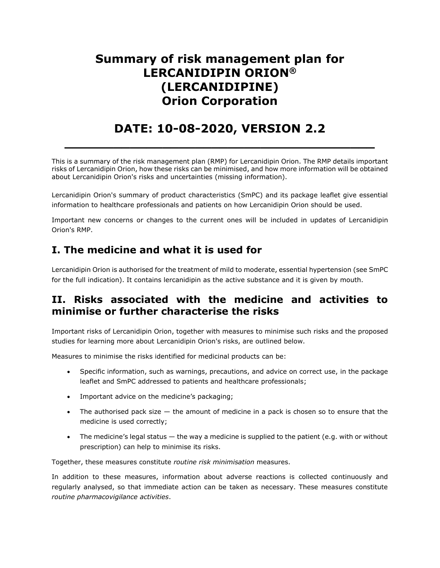# **Summary of risk management plan for LERCANIDIPIN ORION® (LERCANIDIPINE) Orion Corporation**

# **DATE: 10-08-2020, VERSION 2.2**

**\_\_\_\_\_\_\_\_\_\_\_\_\_\_\_\_\_\_\_\_\_\_\_\_\_\_\_\_\_\_\_\_\_\_\_\_\_\_**

This is a summary of the risk management plan (RMP) for Lercanidipin Orion. The RMP details important risks of Lercanidipin Orion, how these risks can be minimised, and how more information will be obtained about Lercanidipin Orion's risks and uncertainties (missing information).

Lercanidipin Orion's summary of product characteristics (SmPC) and its package leaflet give essential information to healthcare professionals and patients on how Lercanidipin Orion should be used.

Important new concerns or changes to the current ones will be included in updates of Lercanidipin Orion's RMP.

### **I. The medicine and what it is used for**

Lercanidipin Orion is authorised for the treatment of mild to moderate, essential hypertension (see SmPC for the full indication). It contains lercanidipin as the active substance and it is given by mouth.

#### **II. Risks associated with the medicine and activities to minimise or further characterise the risks**

Important risks of Lercanidipin Orion, together with measures to minimise such risks and the proposed studies for learning more about Lercanidipin Orion's risks, are outlined below.

Measures to minimise the risks identified for medicinal products can be:

- Specific information, such as warnings, precautions, and advice on correct use, in the package leaflet and SmPC addressed to patients and healthcare professionals;
- Important advice on the medicine's packaging;
- The authorised pack size the amount of medicine in a pack is chosen so to ensure that the medicine is used correctly;
- $\bullet$  The medicine's legal status  $-$  the way a medicine is supplied to the patient (e.g. with or without prescription) can help to minimise its risks.

Together, these measures constitute *routine risk minimisation* measures.

In addition to these measures, information about adverse reactions is collected continuously and regularly analysed, so that immediate action can be taken as necessary. These measures constitute *routine pharmacovigilance activities*.